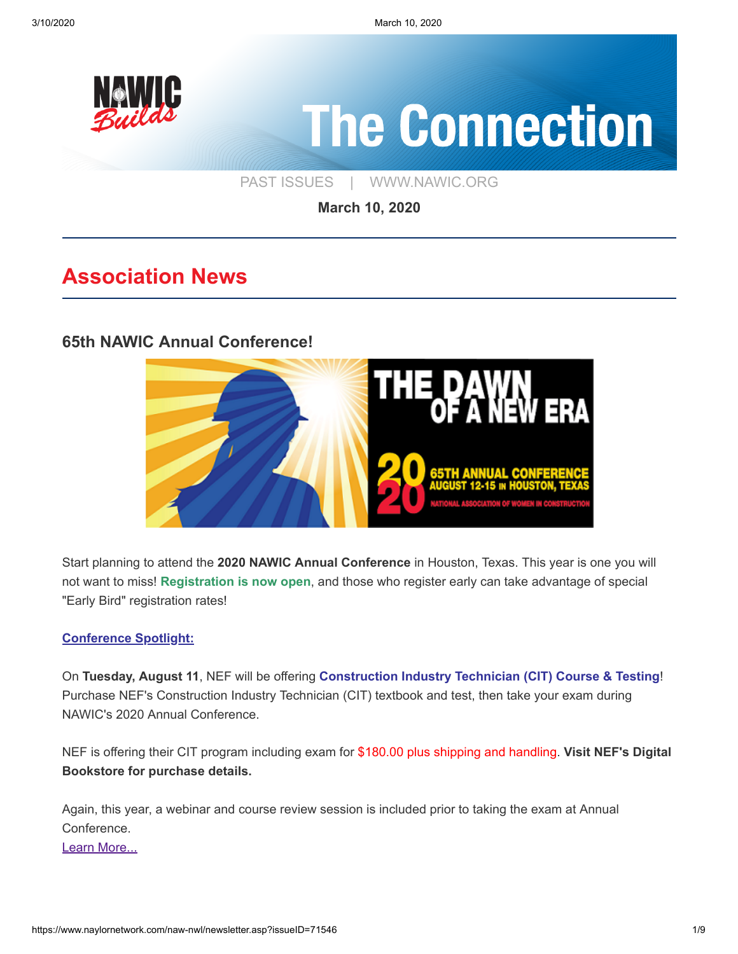

**March 10, 2020**

# **Association News**

### **[65th NAWIC Annual Conference!](https://www.nawic.org/nawic/Annual_Conference.asp)**



Start planning to attend the **2020 NAWIC Annual Conference** in Houston, Texas. This year is one you will not want to miss! **Registration is now open**, and those who register early can take advantage of special "Early Bird" registration rates!

#### **Conference Spotlight:**

On **Tuesday, August 11**, NEF will be offering **Construction Industry Technician (CIT) Course & Testing**! Purchase NEF's Construction Industry Technician (CIT) textbook and test, then take your exam during NAWIC's 2020 Annual Conference.

NEF is offering their CIT program including exam for \$180.00 plus shipping and handling. **Visit NEF's Digital Bookstore for purchase details.**

Again, this year, a webinar and course review session is included prior to taking the exam at Annual Conference. [Learn More...](https://www.nawic.org/nawic/Annual_Conference.asp)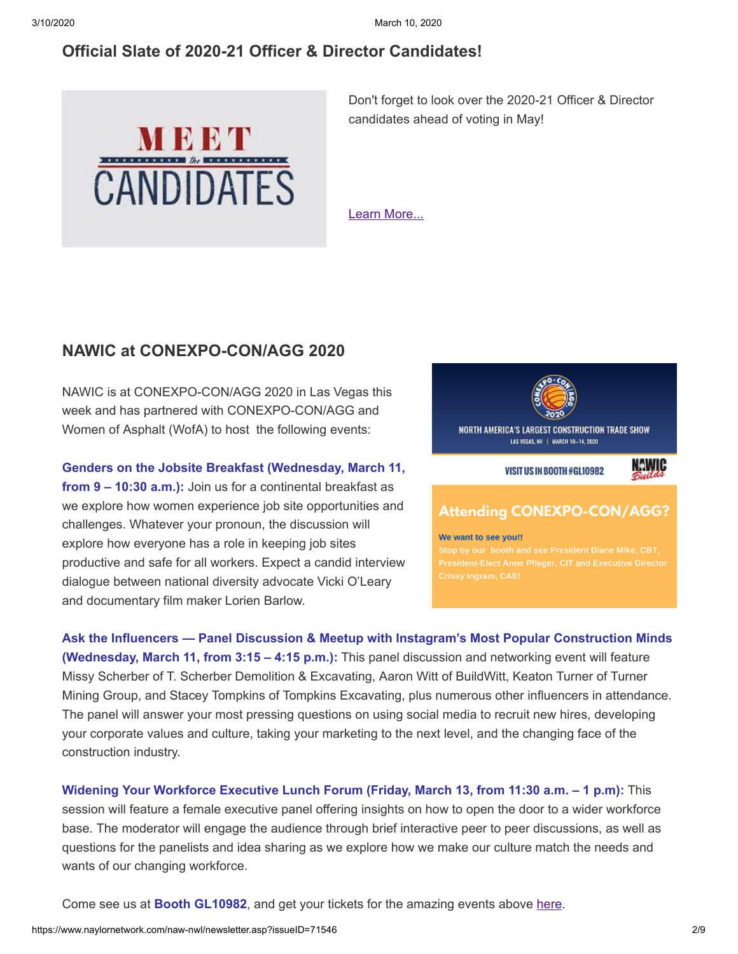### **[Official Slate of 2020-21 Officer & Director Candidates!](https://www.nawic.org/NewsBot.asp?MODE=VIEW&ID=397)**



Don't forget to look over the 2020-21 Officer & Director candidates ahead of voting in May!

[Learn More...](https://www.nawic.org/NewsBot.asp?MODE=VIEW&ID=397)

### **[NAWIC at CONEXPO-CON/AGG 2020](https://www.naylornetwork.com/naw-nwl/articles/index.asp?aid=606559&issueID=71546)**

NAWIC is at CONEXPO-CON/AGG 2020 in Las Vegas this week and has partnered with CONEXPO-CON/AGG and Women of Asphalt (WofA) to host the following events:

**Genders on the Jobsite Breakfast (Wednesday, March 11,**

**from 9 – 10:30 a.m.):** Join us for a continental breakfast as we explore how women experience job site opportunities and challenges. Whatever your pronoun, the discussion will explore how everyone has a role in keeping job sites productive and safe for all workers. Expect a candid interview dialogue between national diversity advocate Vicki O'Leary and documentary film maker Lorien Barlow.



VISIT US IN BOOTH #GL10982



### **Attending CONEXPO-CON/AGG?**

#### We want to see you!!

**Ask the Influencers — Panel Discussion & Meetup with Instagram's Most Popular Construction Minds (Wednesday, March 11, from 3:15 – 4:15 p.m.):** This panel discussion and networking event will feature Missy Scherber of T. Scherber Demolition & Excavating, Aaron Witt of BuildWitt, Keaton Turner of Turner Mining Group, and Stacey Tompkins of Tompkins Excavating, plus numerous other influencers in attendance. The panel will answer your most pressing questions on using social media to recruit new hires, developing your corporate values and culture, taking your marketing to the next level, and the changing face of the construction industry.

**Widening Your Workforce Executive Lunch Forum (Friday, March 13, from 11:30 a.m. – 1 p.m):** This session will feature a female executive panel offering insights on how to open the door to a wider workforce base. The moderator will engage the audience through brief interactive peer to peer discussions, as well as questions for the panelists and idea sharing as we explore how we make our culture match the needs and wants of our changing workforce.

Come see us at **Booth GL10982**, and get your tickets for the amazing events above [here](https://www.conexpoconagg.com/visit/what-to-see/#women-events).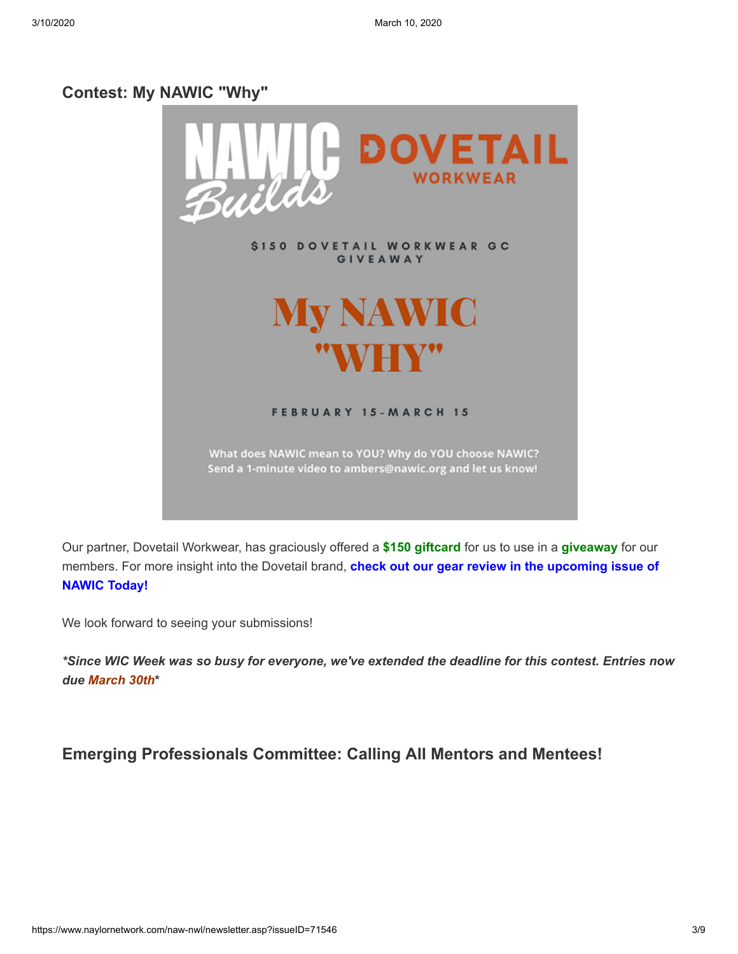#### **[Contest: My NAWIC "Why"](https://www.naylornetwork.com/naw-nwl/articles/index.asp?aid=606577&issueID=71546)**



Our partner, Dovetail Workwear, has graciously offered a **\$150 giftcard** for us to use in a **giveaway** for our members. For more insight into the Dovetail brand, **check out our gear review in the upcoming issue of NAWIC Today!**

We look forward to seeing your submissions!

*\*Since WIC Week was so busy for everyone, we've extended the deadline for this contest. Entries now due March 30th***\***

#### **[Emerging Professionals Committee: Calling All Mentors and Mentees!](https://www.naylornetwork.com/naw-nwl/articles/index.asp?aid=606557&issueID=71546)**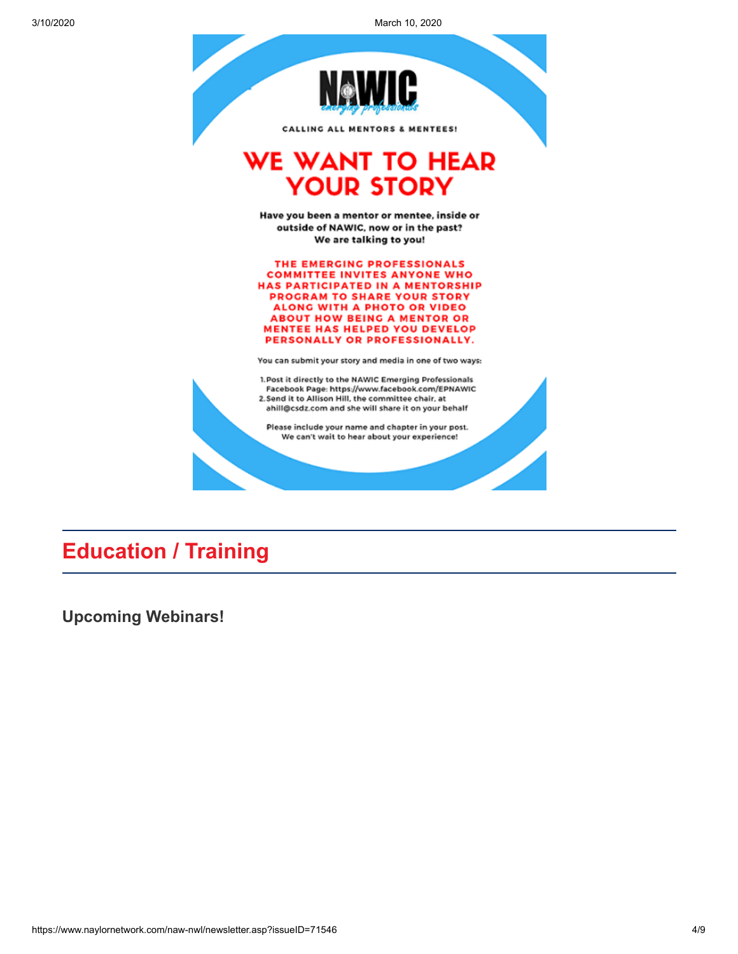3/10/2020 March 10, 2020



**Education / Training**

**[Upcoming Webinars!](https://www.nawic.org/nawic/Webinars.asp)**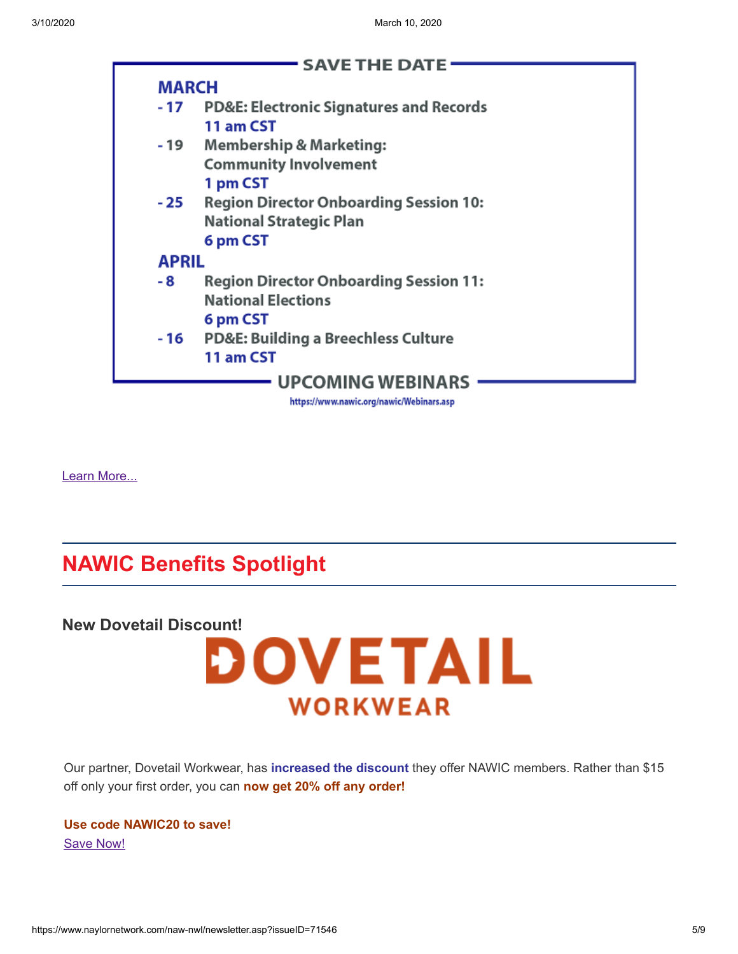

[Learn More...](https://www.nawic.org/nawic/Webinars.asp)

# **NAWIC Benefits Spotlight**





Our partner, Dovetail Workwear, has **increased the discount** they offer NAWIC members. Rather than \$15 off only your first order, you can **now get 20% off any order!**

**Use code NAWIC20 to save!** [Save Now!](https://dovetailworkwear.com/)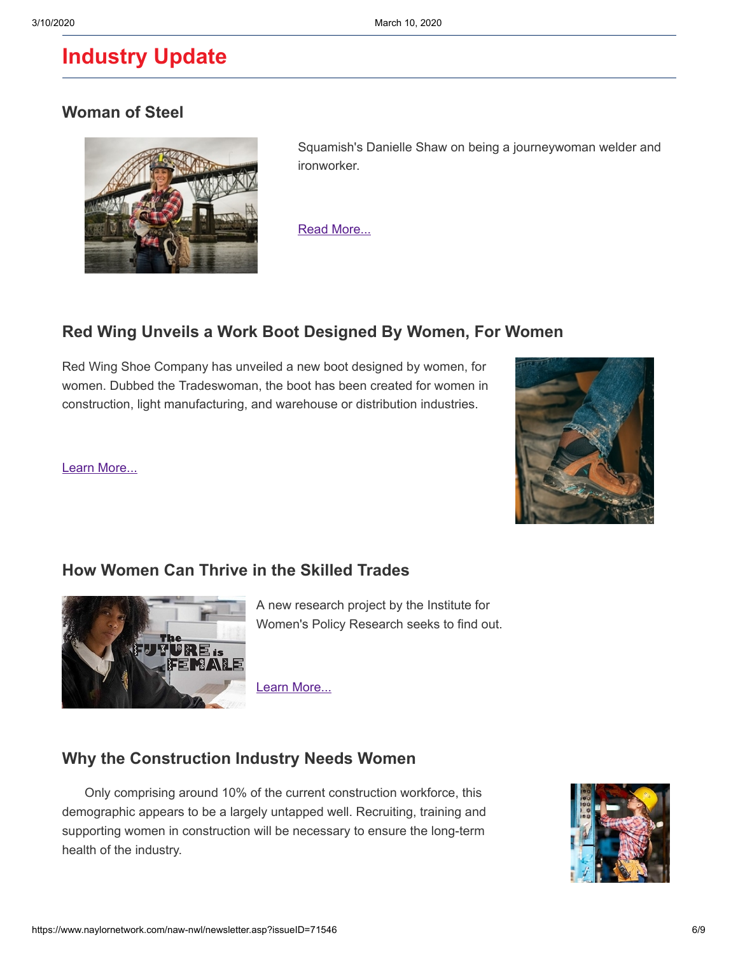# **Industry Update**

### **[Woman of Steel](https://www.squamishchief.com/community/woman-of-steel-1.24086178)**



 Squamish's Danielle Shaw on being a journeywoman welder and ironworker.

[Read More...](https://www.squamishchief.com/community/woman-of-steel-1.24086178)

## **[Red Wing Unveils a Work Boot Designed By Women, For Women](https://www.bdcnetwork.com/red-wing-unveils-work-boot-designed-women-women)**

Red Wing Shoe Company has unveiled a new boot designed by women, for women. Dubbed the Tradeswoman, the boot has been created for women in construction, light manufacturing, and warehouse or distribution industries.

[Learn More...](https://www.bdcnetwork.com/red-wing-unveils-work-boot-designed-women-women)



### **[How Women Can Thrive in the Skilled Trades](https://www.snipsmag.com/articles/94154-how-women-can-thrive-in-the-skilled-trades)**



A new research project by the Institute for Women's Policy Research seeks to find out.

[Learn More...](https://www.snipsmag.com/articles/94154-how-women-can-thrive-in-the-skilled-trades)

### **[Why the Construction Industry Needs Women](https://www.byf.org/news-item/why-the-construction-industry-needs-women/?utm_source=Twitter%20Cards&utm_medium=BYF%20Blog&utm_content=Why%20the%20Construction%20Industry%20Needs%20Women)**

 Only comprising around 10% of the current construction workforce, this demographic appears to be a largely untapped well. Recruiting, training and supporting women in construction will be necessary to ensure the long-term health of the industry.

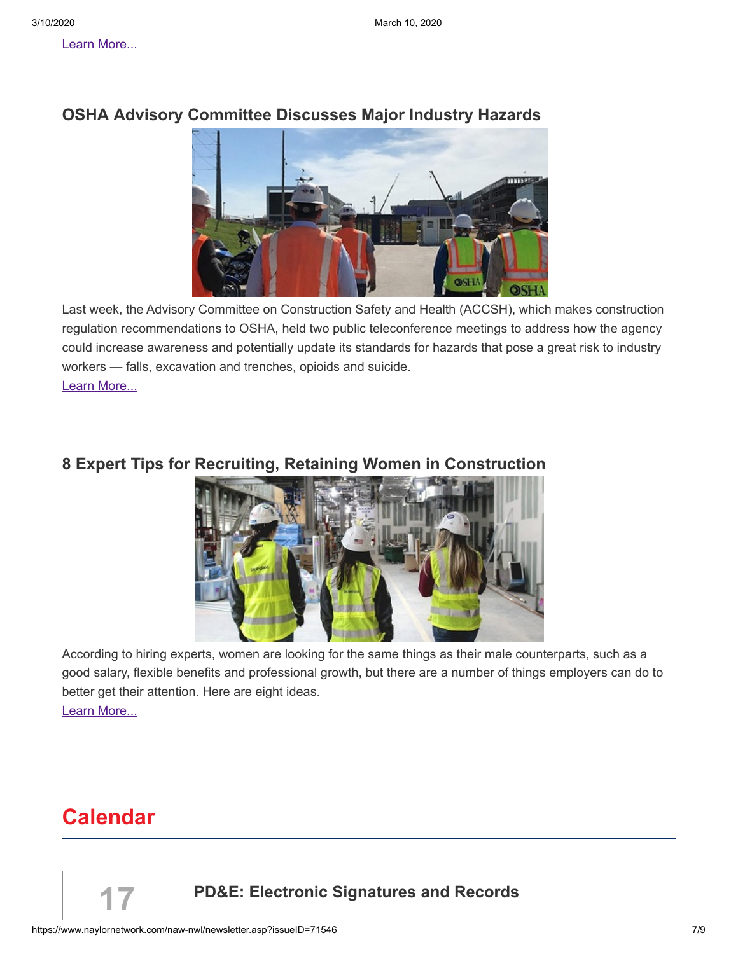

### **[OSHA Advisory Committee Discusses Major Industry Hazards](https://www.constructiondive.com/news/osha-advisory-committee-discusses-major-industry-hazards/573715/)**

Last week, the Advisory Committee on Construction Safety and Health (ACCSH), which makes construction regulation recommendations to OSHA, held two public teleconference meetings to address how the agency could increase awareness and potentially update its standards for hazards that pose a great risk to industry workers — falls, excavation and trenches, opioids and suicide. [Learn More...](https://www.constructiondive.com/news/osha-advisory-committee-discusses-major-industry-hazards/573715/)

### **[8 Expert Tips for Recruiting, Retaining Women in Construction](https://www.constructiondive.com/news/8-expert-tips-for-recruiting-retaining-women-in-construction/573241/)**



According to hiring experts, women are looking for the same things as their male counterparts, such as a good salary, flexible benefits and professional growth, but there are a number of things employers can do to better get their attention. Here are eight ideas. [Learn More...](https://www.constructiondive.com/news/8-expert-tips-for-recruiting-retaining-women-in-construction/573241/)

# **Calendar**

**17**

# **[PD&E: Electronic Signatures and Records](https://www.nawic.org/nawic/Webinars.asp)**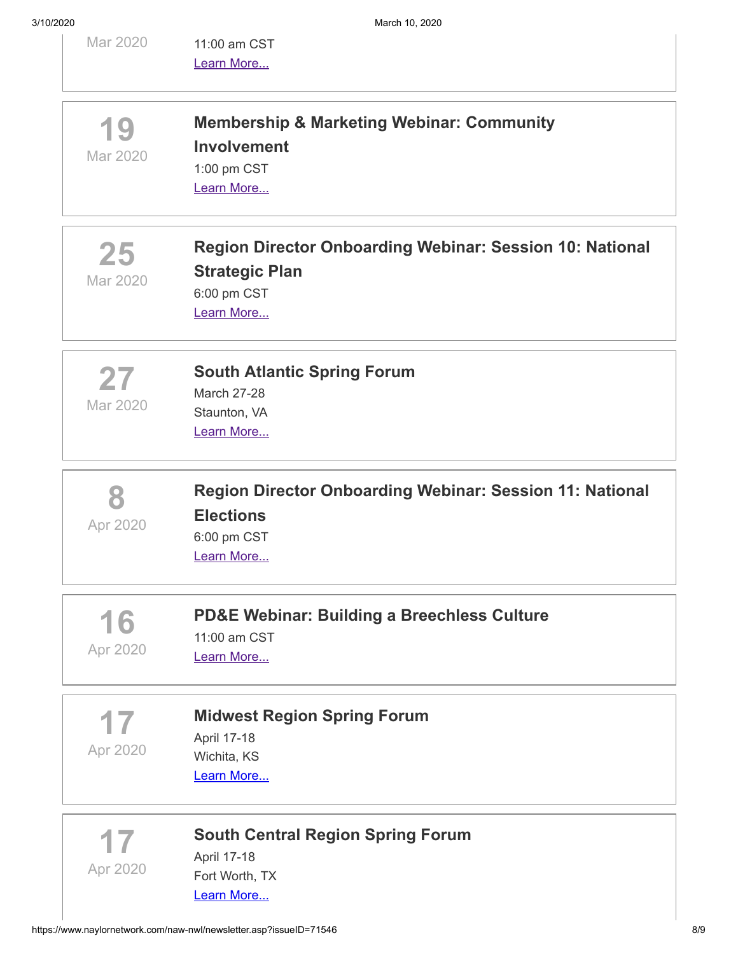| Mar 2020       | 11:00 am CST<br>Learn More                                                                                     |
|----------------|----------------------------------------------------------------------------------------------------------------|
| 19<br>Mar 2020 | <b>Membership &amp; Marketing Webinar: Community</b><br><b>Involvement</b><br>1:00 pm CST<br>Learn More        |
| 25<br>Mar 2020 | Region Director Onboarding Webinar: Session 10: National<br><b>Strategic Plan</b><br>6:00 pm CST<br>Learn More |
| 27<br>Mar 2020 | <b>South Atlantic Spring Forum</b><br><b>March 27-28</b><br>Staunton, VA<br>Learn More                         |
|                | <b>Region Director Onboarding Webinar: Session 11: National</b>                                                |
| Apr 2020       | <b>Elections</b><br>6:00 pm CST<br>Learn More                                                                  |
| 16<br>Apr 2020 | <b>PD&amp;E Webinar: Building a Breechless Culture</b><br>11:00 am CST<br>Learn More                           |
| Apr 2020       | <b>Midwest Region Spring Forum</b><br>April 17-18<br>Wichita, KS<br>Learn More                                 |